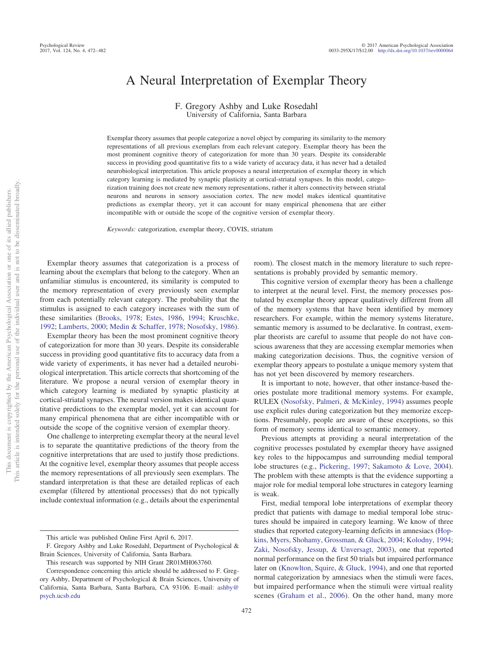# A Neural Interpretation of Exemplar Theory

## F. Gregory Ashby and Luke Rosedahl University of California, Santa Barbara

Exemplar theory assumes that people categorize a novel object by comparing its similarity to the memory representations of all previous exemplars from each relevant category. Exemplar theory has been the most prominent cognitive theory of categorization for more than 30 years. Despite its considerable success in providing good quantitative fits to a wide variety of accuracy data, it has never had a detailed neurobiological interpretation. This article proposes a neural interpretation of exemplar theory in which category learning is mediated by synaptic plasticity at cortical-striatal synapses. In this model, categorization training does not create new memory representations, rather it alters connectivity between striatal neurons and neurons in sensory association cortex. The new model makes identical quantitative predictions as exemplar theory, yet it can account for many empirical phenomena that are either incompatible with or outside the scope of the cognitive version of exemplar theory.

*Keywords:* categorization, exemplar theory, COVIS, striatum

Exemplar theory assumes that categorization is a process of learning about the exemplars that belong to the category. When an unfamiliar stimulus is encountered, its similarity is computed to the memory representation of every previously seen exemplar from each potentially relevant category. The probability that the stimulus is assigned to each category increases with the sum of these similarities [\(Brooks, 1978;](#page-8-0) [Estes, 1986,](#page-9-0) [1994;](#page-9-1) [Kruschke,](#page-9-2) [1992;](#page-9-2) [Lamberts, 2000;](#page-9-3) [Medin & Schaffer, 1978;](#page-9-4) [Nosofsky, 1986\)](#page-9-5).

Exemplar theory has been the most prominent cognitive theory of categorization for more than 30 years. Despite its considerable success in providing good quantitative fits to accuracy data from a wide variety of experiments, it has never had a detailed neurobiological interpretation. This article corrects that shortcoming of the literature. We propose a neural version of exemplar theory in which category learning is mediated by synaptic plasticity at cortical-striatal synapses. The neural version makes identical quantitative predictions to the exemplar model, yet it can account for many empirical phenomena that are either incompatible with or outside the scope of the cognitive version of exemplar theory.

One challenge to interpreting exemplar theory at the neural level is to separate the quantitative predictions of the theory from the cognitive interpretations that are used to justify those predictions. At the cognitive level, exemplar theory assumes that people access the memory representations of all previously seen exemplars. The standard interpretation is that these are detailed replicas of each exemplar (filtered by attentional processes) that do not typically include contextual information (e.g., details about the experimental sentations is probably provided by semantic memory. This cognitive version of exemplar theory has been a challenge

room). The closest match in the memory literature to such repre-

to interpret at the neural level. First, the memory processes postulated by exemplar theory appear qualitatively different from all of the memory systems that have been identified by memory researchers. For example, within the memory systems literature, semantic memory is assumed to be declarative. In contrast, exemplar theorists are careful to assume that people do not have conscious awareness that they are accessing exemplar memories when making categorization decisions. Thus, the cognitive version of exemplar theory appears to postulate a unique memory system that has not yet been discovered by memory researchers.

It is important to note, however, that other instance-based theories postulate more traditional memory systems. For example, RULEX [\(Nosofsky, Palmeri, & McKinley, 1994\)](#page-9-6) assumes people use explicit rules during categorization but they memorize exceptions. Presumably, people are aware of these exceptions, so this form of memory seems identical to semantic memory.

Previous attempts at providing a neural interpretation of the cognitive processes postulated by exemplar theory have assigned key roles to the hippocampus and surrounding medial temporal lobe structures (e.g., [Pickering, 1997;](#page-10-0) [Sakamoto & Love, 2004\)](#page-10-1). The problem with these attempts is that the evidence supporting a major role for medial temporal lobe structures in category learning is weak.

First, medial temporal lobe interpretations of exemplar theory predict that patients with damage to medial temporal lobe structures should be impaired in category learning. We know of three studies that reported category-learning deficits in amnesiacs [\(Hop](#page-9-7)[kins, Myers, Shohamy, Grossman, & Gluck, 2004;](#page-9-7) [Kolodny, 1994;](#page-9-8) [Zaki, Nosofsky, Jessup, & Unversagt, 2003\)](#page-10-2), one that reported normal performance on the first 50 trials but impaired performance later on [\(Knowlton, Squire, & Gluck, 1994\)](#page-9-9), and one that reported normal categorization by amnesiacs when the stimuli were faces, but impaired performance when the stimuli were virtual reality scenes [\(Graham et al., 2006\)](#page-9-10). On the other hand, many more

This article was published Online First April 6, 2017.

F. Gregory Ashby and Luke Rosedahl, Department of Psychological & Brain Sciences, University of California, Santa Barbara.

This research was supported by NIH Grant 2R01MH063760.

Correspondence concerning this article should be addressed to F. Gregory Ashby, Department of Psychological & Brain Sciences, University of California, Santa Barbara, Santa Barbara, CA 93106. E-mail: [ashby@](mailto:ashby@psych.ucsb.edu) [psych.ucsb.edu](mailto:ashby@psych.ucsb.edu)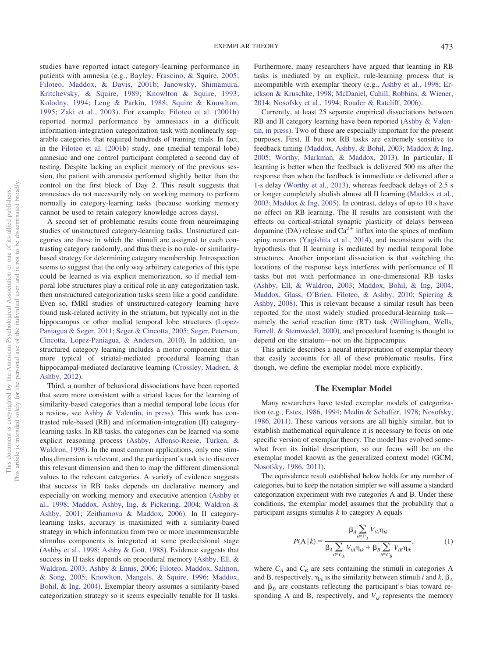studies have reported intact category-learning performance in patients with amnesia (e.g., [Bayley, Frascino, & Squire, 2005;](#page-8-1) [Filoteo, Maddox, & Davis, 2001b;](#page-9-11) [Janowsky, Shimamura,](#page-9-12) [Kritchevsky, & Squire, 1989;](#page-9-12) [Knowlton & Squire, 1993;](#page-9-13) [Kolodny, 1994;](#page-9-8) [Leng & Parkin, 1988;](#page-9-14) [Squire & Knowlton,](#page-10-3) [1995;](#page-10-3) [Zaki et al., 2003\)](#page-10-2). For example, [Filoteo et al. \(2001b\)](#page-9-11) reported normal performance by amnesiacs in a difficult information-integration categorization task with nonlinearly separable categories that required hundreds of training trials. In fact, in the [Filoteo et al. \(2001b\)](#page-9-11) study, one (medial temporal lobe) amnesiac and one control participant completed a second day of testing. Despite lacking an explicit memory of the previous session, the patient with amnesia performed slightly better than the control on the first block of Day 2. This result suggests that amnesiacs do not necessarily rely on working memory to perform normally in category-learning tasks (because working memory cannot be used to retain category knowledge across days).

A second set of problematic results come from neuroimaging studies of unstructured category-learning tasks. Unstructured categories are those in which the stimuli are assigned to each contrasting category randomly, and thus there is no rule- or similaritybased strategy for determining category membership. Introspection seems to suggest that the only way arbitrary categories of this type could be learned is via explicit memorization, so if medial temporal lobe structures play a critical role in any categorization task, then unstructured categorization tasks seem like a good candidate. Even so, fMRI studies of unstructured-category learning have found task-related activity in the striatum, but typically not in the hippocampus or other medial temporal lobe structures [\(Lopez-](#page-9-15)[Paniagua & Seger, 2011;](#page-9-15) [Seger & Cincotta, 2005;](#page-10-4) [Seger, Peterson,](#page-10-5) [Cincotta, Lopez-Paniagua, & Anderson, 2010\)](#page-10-5). In addition, unstructured category learning includes a motor component that is more typical of striatal-mediated procedural learning than hippocampal-mediated declarative learning [\(Crossley, Madsen, &](#page-9-16) [Ashby, 2012\)](#page-9-16).

Third, a number of behavioral dissociations have been reported that seem more consistent with a striatal locus for the learning of similarity-based categories than a medial temporal lobe locus (for a review, see [Ashby & Valentin, in press\)](#page-8-2). This work has contrasted rule-based (RB) and information-integration (II) categorylearning tasks. In RB tasks, the categories can be learned via some explicit reasoning process [\(Ashby, Alfonso-Reese, Turken, &](#page-8-3) [Waldron, 1998\)](#page-8-3). In the most common applications, only one stimulus dimension is relevant, and the participant's task is to discover this relevant dimension and then to map the different dimensional values to the relevant categories. A variety of evidence suggests that success in RB tasks depends on declarative memory and especially on working memory and executive attention [\(Ashby et](#page-8-3) [al., 1998;](#page-8-3) [Maddox, Ashby, Ing, & Pickering, 2004;](#page-9-17) [Waldron &](#page-10-6) [Ashby, 2001;](#page-10-6) [Zeithamova & Maddox, 2006\)](#page-10-7). In II categorylearning tasks, accuracy is maximized with a similarity-based strategy in which information from two or more incommensurable stimulus components is integrated at some predecisional stage [\(Ashby et al., 1998;](#page-8-3) [Ashby & Gott, 1988\)](#page-8-4). Evidence suggests that success in II tasks depends on procedural memory [\(Ashby, Ell, &](#page-8-5) [Waldron, 2003;](#page-8-5) [Ashby & Ennis, 2006;](#page-8-6) [Filoteo, Maddox, Salmon,](#page-9-18) [& Song, 2005;](#page-9-18) [Knowlton, Mangels, & Squire, 1996;](#page-9-19) [Maddox,](#page-9-20) [Bohil, & Ing, 2004\)](#page-9-20). Exemplar theory assumes a similarity-based categorization strategy so it seems especially tenable for II tasks. Furthermore, many researchers have argued that learning in RB tasks is mediated by an explicit, rule-learning process that is incompatible with exemplar theory (e.g., [Ashby et al., 1998;](#page-8-3) [Er](#page-9-21)[ickson & Kruschke, 1998;](#page-9-21) [McDaniel, Cahill, Robbins, & Wiener,](#page-9-22) [2014;](#page-9-22) [Nosofsky et al., 1994;](#page-9-6) [Rouder & Ratcliff, 2006\)](#page-10-8).

Currently, at least 25 separate empirical dissociations between RB and II category learning have been reported [\(Ashby & Valen](#page-8-2)[tin, in press\)](#page-8-2). Two of these are especially important for the present purposes. First, II but not RB tasks are extremely sensitive to feedback timing [\(Maddox, Ashby, & Bohil, 2003;](#page-9-23) [Maddox & Ing,](#page-9-24) [2005;](#page-9-24) [Worthy, Markman, & Maddox, 2013\)](#page-10-9). In particular, II learning is better when the feedback is delivered 500 ms after the response than when the feedback is immediate or delivered after a 1-s delay [\(Worthy et al., 2013\)](#page-10-9), whereas feedback delays of 2.5 s or longer completely abolish almost all II learning [\(Maddox et al.,](#page-9-23) [2003;](#page-9-23) [Maddox & Ing, 2005\)](#page-9-24). In contrast, delays of up to 10 s have no effect on RB learning. The II results are consistent with the effects on cortical-striatal synaptic plasticity of delays between dopamine (DA) release and  $Ca^{2+}$  influx into the spines of medium spiny neurons [\(Yagishita et al., 2014\)](#page-10-10), and inconsistent with the hypothesis that II learning is mediated by medial temporal lobe structures. Another important dissociation is that switching the locations of the response keys interferes with performance of II tasks but not with performance in one-dimensional RB tasks [\(Ashby, Ell, & Waldron, 2003;](#page-8-5) [Maddox, Bohil, & Ing, 2004;](#page-9-20) [Maddox, Glass, O'Brien, Filoteo, & Ashby, 2010;](#page-9-25) [Spiering &](#page-10-11) [Ashby, 2008\)](#page-10-11). This is relevant because a similar result has been reported for the most widely studied procedural-learning task namely the serial reaction time (RT) task [\(Willingham, Wells,](#page-10-12) [Farrell, & Stemwedel, 2000\)](#page-10-12), and procedural learning is thought to depend on the striatum—not on the hippocampus.

This article describes a neural interpretation of exemplar theory that easily accounts for all of these problematic results. First though, we define the exemplar model more explicitly.

#### **The Exemplar Model**

Many researchers have tested exemplar models of categorization (e.g., [Estes, 1986,](#page-9-0) [1994;](#page-9-1) [Medin & Schaffer, 1978;](#page-9-4) [Nosofsky,](#page-9-5) [1986,](#page-9-5) [2011\)](#page-9-26). These various versions are all highly similar, but to establish mathematical equivalence it is necessary to focus on one specific version of exemplar theory. The model has evolved somewhat from its initial description, so our focus will be on the exemplar model known as the generalized context model (GCM; [Nosofsky, 1986,](#page-9-5) [2011\)](#page-9-26).

The equivalence result established below holds for any number of categories, but to keep the notation simpler we will assume a standard categorization experiment with two categories A and B. Under these conditions, the exemplar model assumes that the probability that a participant assigns stimulus *k* to category A equals

$$
P(\mathbf{A} | k) = \frac{\beta_A \sum_{i \in C_A} V_{iA} \eta_{ik}}{\beta_A \sum_{i \in C_A} V_{iA} \eta_{ik} + \beta_B \sum_{i \in C_B} V_{iB} \eta_{ik}},
$$
(1)

<span id="page-1-0"></span>where  $C_A$  and  $C_B$  are sets containing the stimuli in categories A and B, respectively,  $\eta_{ik}$  is the similarity between stimuli *i* and *k*,  $\beta_A$ and  $\beta_B$  are constants reflecting the participant's bias toward responding A and B, respectively, and  $V_{iJ}$  represents the memory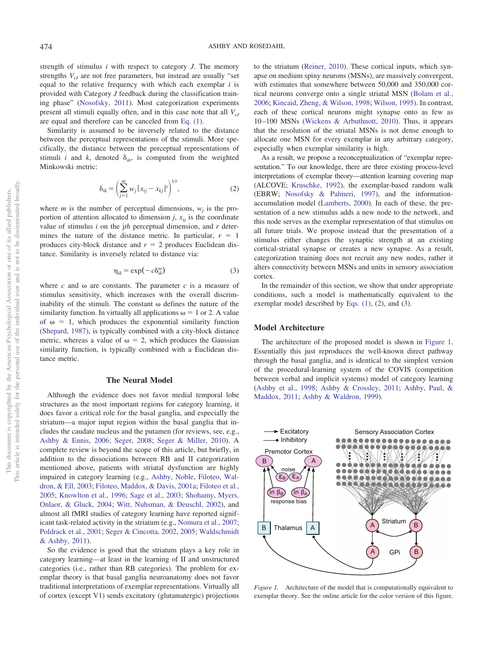strength of stimulus *i* with respect to category *J*. The memory strengths  $V_{iJ}$  are not free parameters, but instead are usually "set equal to the relative frequency with which each exemplar *i* is provided with Category *J* feedback during the classification training phase" [\(Nosofsky, 2011\)](#page-9-26). Most categorization experiments present all stimuli equally often, and in this case note that all  $V_{iJ}$ are equal and therefore can be canceled from [Eq. \(1\).](#page-1-0)

Similarity is assumed to be inversely related to the distance between the perceptual representations of the stimuli. More specifically, the distance between the perceptual representations of stimuli *i* and *k*, denoted  $\delta_{ik}$ , is computed from the weighted Minkowski metric:

$$
\delta_{ik} = \left(\sum_{j=1}^{m} w_j |x_{ij} - x_{kj}|^r\right)^{1/r},
$$
 (2)

<span id="page-2-0"></span>where *m* is the number of perceptual dimensions,  $w_i$  is the proportion of attention allocated to dimension  $j$ ,  $x_{ij}$  is the coordinate value of stimulus *i* on the j*th* perceptual dimension, and *r* determines the nature of the distance metric. In particular,  $r = 1$ produces city-block distance and  $r = 2$  produces Euclidean distance. Similarity is inversely related to distance via:

$$
\eta_{ik} = \exp(-c\delta_{ik}^{\omega})\tag{3}
$$

<span id="page-2-1"></span>where  $c$  and  $\omega$  are constants. The parameter  $c$  is a measure of stimulus sensitivity, which increases with the overall discriminability of the stimuli. The constant  $\omega$  defines the nature of the similarity function. In virtually all applications  $\omega = 1$  or 2. A value of  $\omega = 1$ , which produces the exponential similarity function [\(Shepard, 1987\)](#page-10-13), is typically combined with a city-block distance metric, whereas a value of  $\omega = 2$ , which produces the Gaussian similarity function, is typically combined with a Euclidean distance metric.

#### **The Neural Model**

Although the evidence does not favor medial temporal lobe structures as the most important regions for category learning, it does favor a critical role for the basal ganglia, and especially the striatum—a major input region within the basal ganglia that includes the caudate nucleus and the putamen (for reviews, see, e.g., [Ashby & Ennis, 2006;](#page-8-6) [Seger, 2008;](#page-10-14) [Seger & Miller, 2010\)](#page-10-15). A complete review is beyond the scope of this article, but briefly, in addition to the dissociations between RB and II categorization mentioned above, patients with striatal dysfunction are highly impaired in category learning (e.g., [Ashby, Noble, Filoteo, Wal](#page-8-7)[dron, & Ell, 2003;](#page-8-7) [Filoteo, Maddox, & Davis, 2001a;](#page-9-27) [Filoteo et al.,](#page-9-18) [2005;](#page-9-18) [Knowlton et al., 1996;](#page-9-19) [Sage et al., 2003;](#page-10-16) [Shohamy, Myers,](#page-10-17) [Onlaor, & Gluck, 2004;](#page-10-17) [Witt, Nuhsman, & Deuschl, 2002\)](#page-10-18), and almost all fMRI studies of category learning have reported significant task-related activity in the striatum (e.g., [Nomura et al., 2007;](#page-9-28) [Poldrack et al., 2001;](#page-10-19) [Seger & Cincotta, 2002,](#page-10-20) [2005;](#page-10-4) [Waldschmidt](#page-10-21) [& Ashby, 2011\)](#page-10-21).

So the evidence is good that the striatum plays a key role in category learning—at least in the learning of II and unstructured categories (i.e., rather than RB categories). The problem for exemplar theory is that basal ganglia neuroanatomy does not favor traditional interpretations of exemplar representations. Virtually all of cortex (except V1) sends excitatory (glutamatergic) projections to the striatum [\(Reiner, 2010\)](#page-10-22). These cortical inputs, which synapse on medium spiny neurons (MSNs), are massively convergent, with estimates that somewhere between 50,000 and 350,000 cortical neurons converge onto a single striatal MSN [\(Bolam et al.,](#page-8-8) [2006;](#page-8-8) [Kincaid, Zheng, & Wilson, 1998;](#page-9-29) [Wilson, 1995\)](#page-10-23). In contrast, each of these cortical neurons might synapse onto as few as 10–100 MSNs [\(Wickens & Arbuthnott, 2010\)](#page-10-24). Thus, it appears that the resolution of the striatal MSNs is not dense enough to allocate one MSN for every exemplar in any arbitrary category, especially when exemplar similarity is high.

As a result, we propose a reconceptualization of "exemplar representation." To our knowledge, there are three existing process-level interpretations of exemplar theory—attention learning covering map (ALCOVE; [Kruschke, 1992\)](#page-9-2), the exemplar-based random walk (EBRW; [Nosofsky & Palmeri, 1997\)](#page-9-30), and the informationaccumulation model [\(Lamberts, 2000\)](#page-9-3). In each of these, the presentation of a new stimulus adds a new node to the network, and this node serves as the exemplar representation of that stimulus on all future trials. We propose instead that the presentation of a stimulus either changes the synaptic strength at an existing cortical-striatal synapse or creates a new synapse. As a result, categorization training does not recruit any new nodes, rather it alters connectivity between MSNs and units in sensory association cortex.

In the remainder of this section, we show that under appropriate conditions, such a model is mathematically equivalent to the exemplar model described by [Eqs. \(1\),](#page-1-0) [\(2\)](#page-2-0), and [\(3\)](#page-2-1).

## **Model Architecture**

The architecture of the proposed model is shown in [Figure 1.](#page-2-2) Essentially this just reproduces the well-known direct pathway through the basal ganglia, and is identical to the simplest version of the procedural-learning system of the COVIS (competition between verbal and implicit systems) model of category learning [\(Ashby et al., 1998;](#page-8-3) [Ashby & Crossley, 2011;](#page-8-9) [Ashby, Paul, &](#page-8-10) [Maddox, 2011;](#page-8-10) [Ashby & Waldron, 1999\)](#page-8-11).



<span id="page-2-2"></span>*Figure 1.* Architecture of the model that is computationally equivalent to exemplar theory. See the online article for the color version of this figure.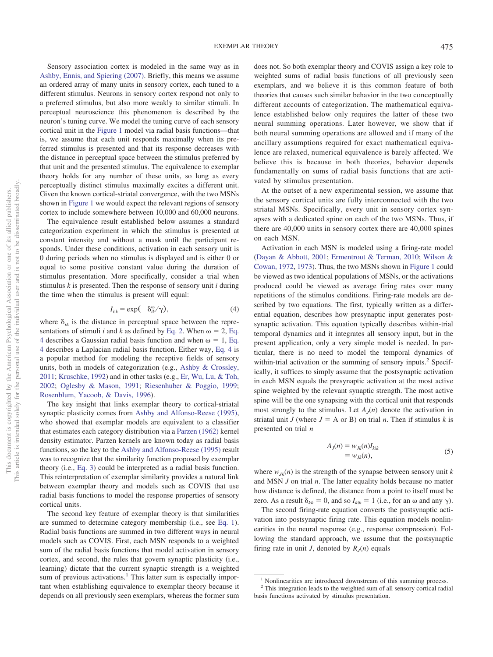Sensory association cortex is modeled in the same way as in [Ashby, Ennis, and Spiering \(2007\).](#page-8-12) Briefly, this means we assume an ordered array of many units in sensory cortex, each tuned to a different stimulus. Neurons in sensory cortex respond not only to a preferred stimulus, but also more weakly to similar stimuli. In perceptual neuroscience this phenomenon is described by the neuron's tuning curve. We model the tuning curve of each sensory cortical unit in the [Figure 1](#page-2-2) model via radial basis functions—that is, we assume that each unit responds maximally when its preferred stimulus is presented and that its response decreases with the distance in perceptual space between the stimulus preferred by that unit and the presented stimulus. The equivalence to exemplar theory holds for any number of these units, so long as every perceptually distinct stimulus maximally excites a different unit. Given the known cortical-striatal convergence, with the two MSNs shown in [Figure 1](#page-2-2) we would expect the relevant regions of sensory cortex to include somewhere between 10,000 and 60,000 neurons.

The equivalence result established below assumes a standard categorization experiment in which the stimulus is presented at constant intensity and without a mask until the participant responds. Under these conditions, activation in each sensory unit is 0 during periods when no stimulus is displayed and is either 0 or equal to some positive constant value during the duration of stimulus presentation. More specifically, consider a trial when stimulus *k* is presented. Then the response of sensory unit *i* during the time when the stimulus is present will equal:

$$
I_{i|k} = \exp(-\delta_{ik}^{\omega}/\gamma), \tag{4}
$$

<span id="page-3-0"></span>where  $\delta_{ik}$  is the distance in perceptual space between the representations of stimuli *i* and *k* as defined by [Eq. 2.](#page-2-0) When  $\omega = 2$ , [Eq.](#page-3-0) [4](#page-3-0) describes a Gaussian radial basis function and when  $\omega = 1$ , [Eq.](#page-3-0) [4](#page-3-0) describes a Laplacian radial basis function. Either way, [Eq. 4](#page-3-0) is a popular method for modeling the receptive fields of sensory units, both in models of categorization (e.g., [Ashby & Crossley,](#page-8-9) [2011;](#page-8-9) [Kruschke, 1992\)](#page-9-2) and in other tasks (e.g., [Er, Wu, Lu, & Toh,](#page-9-31) [2002;](#page-9-31) [Oglesby & Mason, 1991;](#page-9-32) [Riesenhuber & Poggio, 1999;](#page-10-25) [Rosenblum, Yacoob, & Davis, 1996\)](#page-10-26).

The key insight that links exemplar theory to cortical-striatal synaptic plasticity comes from [Ashby and Alfonso-Reese \(1995\),](#page-8-13) who showed that exemplar models are equivalent to a classifier that estimates each category distribution via a [Parzen \(1962\)](#page-10-27) kernel density estimator. Parzen kernels are known today as radial basis functions, so the key to the [Ashby and Alfonso-Reese \(1995\)](#page-8-13) result was to recognize that the similarity function proposed by exemplar theory (i.e., [Eq. 3\)](#page-2-1) could be interpreted as a radial basis function. This reinterpretation of exemplar similarity provides a natural link between exemplar theory and models such as COVIS that use radial basis functions to model the response properties of sensory cortical units.

The second key feature of exemplar theory is that similarities are summed to determine category membership (i.e., see [Eq. 1\)](#page-1-0). Radial basis functions are summed in two different ways in neural models such as COVIS. First, each MSN responds to a weighted sum of the radial basis functions that model activation in sensory cortex, and second, the rules that govern synaptic plasticity (i.e., learning) dictate that the current synaptic strength is a weighted sum of previous activations.<sup>1</sup> This latter sum is especially important when establishing equivalence to exemplar theory because it depends on all previously seen exemplars, whereas the former sum does not. So both exemplar theory and COVIS assign a key role to weighted sums of radial basis functions of all previously seen exemplars, and we believe it is this common feature of both theories that causes such similar behavior in the two conceptually different accounts of categorization. The mathematical equivalence established below only requires the latter of these two neural summing operations. Later however, we show that if both neural summing operations are allowed and if many of the ancillary assumptions required for exact mathematical equivalence are relaxed, numerical equivalence is barely affected. We believe this is because in both theories, behavior depends fundamentally on sums of radial basis functions that are activated by stimulus presentation.

At the outset of a new experimental session, we assume that the sensory cortical units are fully interconnected with the two striatal MSNs. Specifically, every unit in sensory cortex synapses with a dedicated spine on each of the two MSNs. Thus, if there are 40,000 units in sensory cortex there are 40,000 spines on each MSN.

Activation in each MSN is modeled using a firing-rate model [\(Dayan & Abbott, 2001;](#page-9-33) [Ermentrout & Terman, 2010;](#page-9-34) [Wilson &](#page-10-28) [Cowan, 1972,](#page-10-28) [1973\)](#page-10-29). Thus, the two MSNs shown in [Figure 1](#page-2-2) could be viewed as two identical populations of MSNs, or the activations produced could be viewed as average firing rates over many repetitions of the stimulus conditions. Firing-rate models are described by two equations. The first, typically written as a differential equation, describes how presynaptic input generates postsynaptic activation. This equation typically describes within-trial temporal dynamics and it integrates all sensory input, but in the present application, only a very simple model is needed. In particular, there is no need to model the temporal dynamics of within-trial activation or the summing of sensory inputs.<sup>2</sup> Specifically, it suffices to simply assume that the postsynaptic activation in each MSN equals the presynaptic activation at the most active spine weighted by the relevant synaptic strength. The most active spine will be the one synapsing with the cortical unit that responds most strongly to the stimulus. Let  $A_i(n)$  denote the activation in striatal unit *J* (where  $J = A$  or B) on trial *n*. Then if stimulus *k* is presented on trial *n*

$$
A_J(n) = w_{Jk}(n)I_{k|k}
$$
  
= 
$$
w_{Jk}(n),
$$
 (5)

where  $w_{ik}(n)$  is the strength of the synapse between sensory unit *k* and MSN *J* on trial *n*. The latter equality holds because no matter how distance is defined, the distance from a point to itself must be zero. As a result  $\delta_{kk} = 0$ , and so  $I_{kk} = 1$  (i.e., for an  $\omega$  and any  $\gamma$ ).

The second firing-rate equation converts the postsynaptic activation into postsynaptic firing rate. This equation models nonlinearities in the neural response (e.g., response compression). Following the standard approach, we assume that the postsynaptic firing rate in unit *J*, denoted by  $R<sub>J</sub>(n)$  equals

 $<sup>1</sup>$  Nonlinearities are introduced downstream of this summing process.</sup>

<sup>&</sup>lt;sup>2</sup> This integration leads to the weighted sum of all sensory cortical radial basis functions activated by stimulus presentation.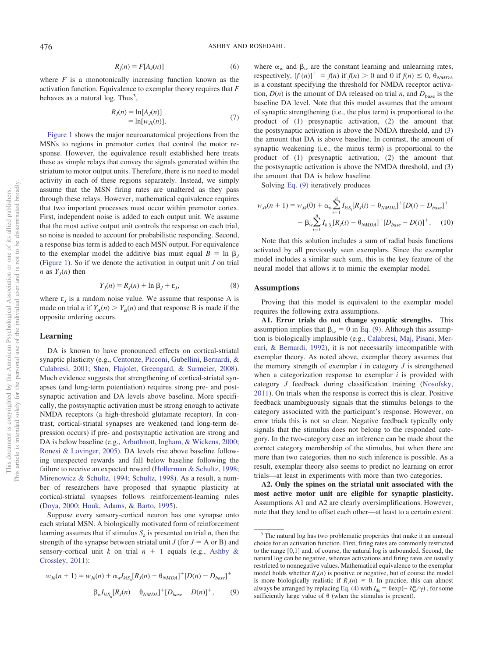$$
R_j(n) = F[A_j(n)]\tag{6}
$$

where  $F$  is a monotonically increasing function known as the activation function. Equivalence to exemplar theory requires that *F* behaves as a natural  $log.$  Thus<sup>3</sup>,

$$
R_j(n) = \ln[A_j(n)]
$$
  
=  $\ln[w_{jk}(n)].$  (7)

<span id="page-4-3"></span>[Figure 1](#page-2-2) shows the major neuroanatomical projections from the MSNs to regions in premotor cortex that control the motor response. However, the equivalence result established here treats these as simple relays that convey the signals generated within the striatum to motor output units. Therefore, there is no need to model activity in each of these regions separately. Instead, we simply assume that the MSN firing rates are unaltered as they pass through these relays. However, mathematical equivalence requires that two important processes must occur within premotor cortex. First, independent noise is added to each output unit. We assume that the most active output unit controls the response on each trial, so noise is needed to account for probabilistic responding. Second, a response bias term is added to each MSN output. For equivalence to the exemplar model the additive bias must equal  $B = \ln \beta$ [\(Figure 1\)](#page-2-2). So if we denote the activation in output unit *J* on trial *n* as  $Y_i(n)$  then

$$
Y_j(n) = R_j(n) + \ln \beta_j + \varepsilon_j,\tag{8}
$$

<span id="page-4-1"></span>where  $\varepsilon$ <sub>*I*</sub> is a random noise value. We assume that response A is made on trial *n* if  $Y_A(n) > Y_B(n)$  and that response B is made if the opposite ordering occurs.

#### **Learning**

DA is known to have pronounced effects on cortical-striatal synaptic plasticity (e.g., [Centonze, Picconi, Gubellini, Bernardi, &](#page-8-14) [Calabresi, 2001;](#page-8-14) [Shen, Flajolet, Greengard, & Surmeier, 2008\)](#page-10-30). Much evidence suggests that strengthening of cortical-striatal synapses (and long-term potentiation) requires strong pre- and postsynaptic activation and DA levels above baseline. More specifically, the postsynaptic activation must be strong enough to activate NMDA receptors (a high-threshold glutamate receptor). In contrast, cortical-striatal synapses are weakened (and long-term depression occurs) if pre- and postsynaptic activation are strong and DA is below baseline (e.g., [Arbuthnott, Ingham, & Wickens, 2000;](#page-8-15) [Ronesi & Lovinger, 2005\)](#page-10-31). DA levels rise above baseline following unexpected rewards and fall below baseline following the failure to receive an expected reward [\(Hollerman & Schultz, 1998;](#page-9-35) [Mirenowicz & Schultz, 1994;](#page-9-36) [Schultz, 1998\)](#page-10-32). As a result, a number of researchers have proposed that synaptic plasticity at cortical-striatal synapses follows reinforcement-learning rules [\(Doya, 2000;](#page-9-37) [Houk, Adams, & Barto, 1995\)](#page-9-38).

Suppose every sensory-cortical neuron has one synapse onto each striatal MSN. A biologically motivated form of reinforcement learning assumes that if stimulus  $S_k$  is presented on trial *n*, then the strength of the synapse between striatal unit  $J$  (for  $J = A$  or B) and sensory-cortical unit  $k$  on trial  $n + 1$  equals (e.g., [Ashby &](#page-8-9) [Crossley, 2011\)](#page-8-9):

<span id="page-4-0"></span>
$$
w_{Jk}(n+1) = w_{Jk}(n) + \alpha_w I_{k|S_n}[R_J(n) - \theta_{NMDA}]^+[D(n) - D_{base}]^+
$$
  
-  $\beta_w I_{k|S_n}[R_J(n) - \theta_{NMDA}]^+[D_{base} - D(n)]^+$ , (9)

where  $\alpha_w$  and  $\beta_w$  are the constant learning and unlearning rates, respectively,  $[f(n)]^+ = f(n)$  if  $f(n) > 0$  and 0 if  $f(n) \le 0$ ,  $\theta_{NMDA}$ is a constant specifying the threshold for NMDA receptor activation,  $D(n)$  is the amount of DA released on trial *n*, and  $D_{base}$  is the baseline DA level. Note that this model assumes that the amount of synaptic strengthening (i.e., the plus term) is proportional to the product of (1) presynaptic activation, (2) the amount that the postsynaptic activation is above the NMDA threshold, and (3) the amount that DA is above baseline. In contrast, the amount of synaptic weakening (i.e., the minus term) is proportional to the product of (1) presynaptic activation, (2) the amount that the postsynaptic activation is above the NMDA threshold, and (3) the amount that DA is below baseline.

Solving [Eq. \(9\)](#page-4-0) iteratively produces

<span id="page-4-2"></span>
$$
w_{Jk}(n+1) = w_{Jk}(0) + \alpha_w \sum_{i=1}^{n} I_{k|S_i}[R_j(i) - \theta_{NMDA}]^+[D(i) - D_{base}]^+
$$
  
-  $\beta_w \sum_{i=1}^{n} I_{k|S_i}[R_j(i) - \theta_{NMDA}]^+[D_{base} - D(i)]^+.$  (10)

Note that this solution includes a sum of radial basis functions activated by all previously seen exemplars. Since the exemplar model includes a similar such sum, this is the key feature of the neural model that allows it to mimic the exemplar model.

## **Assumptions**

Proving that this model is equivalent to the exemplar model requires the following extra assumptions.

**A1. Error trials do not change synaptic strengths.** This assumption implies that  $\beta_w = 0$  in [Eq. \(9\).](#page-4-0) Although this assumption is biologically implausible (e.g., [Calabresi, Maj, Pisani, Mer](#page-8-16)[curi, & Bernardi, 1992\)](#page-8-16), it is not necessarily imcompatible with exemplar theory. As noted above, exemplar theory assumes that the memory strength of exemplar  $i$  in category  $J$  is strengthened when a categorization response to exemplar *i* is provided with category *J* feedback during classification training [\(Nosofsky,](#page-9-26) [2011\)](#page-9-26). On trials when the response is correct this is clear. Positive feedback unambiguously signals that the stimulus belongs to the category associated with the participant's response. However, on error trials this is not so clear. Negative feedback typically only signals that the stimulus does not belong to the responded category. In the two-category case an inference can be made about the correct category membership of the stimulus, but when there are more than two categories, then no such inference is possible. As a result, exemplar theory also seems to predict no learning on error trials—at least in experiments with more than two categories.

**A2. Only the spines on the striatal unit associated with the most active motor unit are eligible for synaptic plasticity.** Assumptions A1 and A2 are clearly oversimplifications. However, note that they tend to offset each other—at least to a certain extent.

<sup>&</sup>lt;sup>3</sup> The natural log has two problematic properties that make it an unusual choice for an activation function. First, firing rates are commonly restricted to the range [0,1] and, of course, the natural log is unbounded. Second, the natural log can be negative, whereas activations and firing rates are usually restricted to nonnegative values. Mathematical equivalence to the exemplar model holds whether  $R<sub>J</sub>(n)$  is positive or negative, but of course the model is more biologically realistic if  $R_J(n) \geq 0$ . In practice, this can almost always be arranged by replacing [Eq. \(4\)](#page-3-0) with  $I_{ik} = \theta \exp(-\delta_{ik}^{\omega}/\gamma)$ , for some sufficiently large value of  $\theta$  (when the stimulus is present).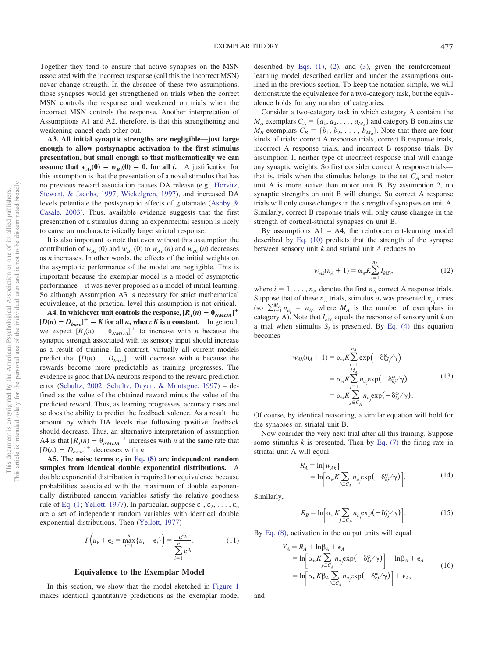Together they tend to ensure that active synapses on the MSN associated with the incorrect response (call this the incorrect MSN) never change strength. In the absence of these two assumptions, those synapses would get strengthened on trials when the correct MSN controls the response and weakened on trials when the incorrect MSN controls the response. Another interpretation of Assumptions A1 and A2, therefore, is that this strengthening and weakening cancel each other out.

**A3. All initial synaptic strengths are negligible—just large enough to allow postsynaptic activation to the first stimulus presentation, but small enough so that mathematically we can assume that**  $w_{Ai}(0) = w_{Bi}(0) = 0$ , for all *i*. A justification for this assumption is that the presentation of a novel stimulus that has no previous reward association causes DA release (e.g., [Horvitz,](#page-9-39) [Stewart, & Jacobs, 1997;](#page-9-39) [Wickelgren, 1997\)](#page-10-33), and increased DA levels potentiate the postsynaptic effects of glutamate [\(Ashby &](#page-8-17) [Casale, 2003\)](#page-8-17). Thus, available evidence suggests that the first presentation of a stimulus during an experimental session is likely to cause an uncharacteristically large striatal response.

It is also important to note that even without this assumption the contribution of  $w_{Ai}$  (0) and  $w_{Bi}$  (0) to  $w_{Ai}$  (*n*) and  $w_{Bi}$  (*n*) decreases as *n* increases. In other words, the effects of the initial weights on the asymptotic performance of the model are negligible. This is important because the exemplar model is a model of asymptotic performance—it was never proposed as a model of initial learning. So although Assumption A3 is necessary for strict mathematical equivalence, at the practical level this assumption is not critical.

A4. In whichever unit controls the response,  $[R_j(n) - \theta_{NMDA}]^+$  $[D(n) - D_{base}]^+$  = *K* for all *n*, where *K* is a constant. In general, we expect  $[R_j(n) - \theta_{NMDA}]^+$  to increase with *n* because the synaptic strength associated with its sensory input should increase as a result of training. In contrast, virtually all current models predict that  $[D(n) - D_{base}]^+$  will decrease with *n* because the rewards become more predictable as training progresses. The evidence is good that DA neurons respond to the reward prediction error [\(Schultz, 2002;](#page-10-34) [Schultz, Dayan, & Montague, 1997\)](#page-10-35) – defined as the value of the obtained reward minus the value of the predicted reward. Thus, as learning progresses, accuracy rises and so does the ability to predict the feedback valence. As a result, the amount by which DA levels rise following positive feedback should decrease. Thus, an alternative interpretation of assumption A4 is that  $[R_j(n) - \theta_{NMDA}]^+$  increases with *n* at the same rate that  $[D(n) - D_{base}]^+$  decreases with *n*.

A5. The noise terms  $\varepsilon_j$  in [Eq. \(8\)](#page-4-1) are independent random **samples from identical double exponential distributions.** A double exponential distribution is required for equivalence because probabilities associated with the maximum of double exponentially distributed random variables satisfy the relative goodness rule of [Eq. \(1;](#page-1-0) [Yellott, 1977\)](#page-10-36). In particular, suppose  $\varepsilon_1, \varepsilon_2, \ldots, \varepsilon_n$ are a set of independent random variables with identical double exponential distributions. Then [\(Yellott, 1977\)](#page-10-36)

$$
P\left(u_k + \epsilon_k = \max_{i=1}^n \{u_i + \epsilon_i\}\right) = \frac{e^{u_k}}{\sum_{i=1}^n e^{u_i}}.
$$
 (11)

#### **Equivalence to the Exemplar Model**

<span id="page-5-0"></span>In this section, we show that the model sketched in [Figure 1](#page-2-2) makes identical quantitative predictions as the exemplar model described by [Eqs. \(1\),](#page-1-0) [\(2\)](#page-2-0), and [\(3\)](#page-2-1), given the reinforcementlearning model described earlier and under the assumptions outlined in the previous section. To keep the notation simple, we will demonstrate the equivalence for a two-category task, but the equivalence holds for any number of categories.

Consider a two-category task in which category A contains the  $M_A$  exemplars  $C_A = \{a_1, a_2, \ldots, a_{M_A}\}\$  and category B contains the  $M_B$  exemplars  $C_B = \{b_1, b_2, \ldots, b_{M_B}\}\.$  Note that there are four kinds of trials: correct A response trials, correct B response trials, incorrect A response trials, and incorrect B response trials. By assumption 1, neither type of incorrect response trial will change any synaptic weights. So first consider correct A response trials that is, trials when the stimulus belongs to the set  $C_A$  and motor unit A is more active than motor unit B. By assumption 2, no synaptic strengths on unit B will change. So correct A response trials will only cause changes in the strength of synapses on unit A. Similarly, correct B response trials will only cause changes in the strength of cortical-striatal synapses on unit B.

By assumptions A1 – A4, the reinforcement-learning model described by [Eq. \(10\)](#page-4-2) predicts that the strength of the synapse between sensory unit *k* and striatal unit *A* reduces to

$$
w_{Ak}(n_A + 1) = \alpha_w K \sum_{i=1}^{n_A} I_{k|S_i},
$$
\n(12)

where  $i = 1, \ldots, n_A$  denotes the first  $n_A$  correct A response trials. Suppose that of these  $n_A$  trials, stimulus  $a_i$  was presented  $n_a$  times (so  $\sum_{i=1}^{M_A} n_{a_i} = n_A$ , where  $M_A$  is the number of exemplars in category A). Note that  $I_{k|S_i}$  equals the response of sensory unit *k* on a trial when stimulus  $S_i$  is presented. By [Eq. \(4\)](#page-3-0) this equation becomes

$$
w_{Ak}(n_A + 1) = \alpha_w K \sum_{i=1}^{n_A} \exp\left(-\delta_{kS_i}^{\omega}/\gamma\right)
$$
  
=  $\alpha_w K \sum_{j=1}^{M_A} n_{a_j} \exp\left(-\delta_{kj}^{\omega}/\gamma\right)$   
=  $\alpha_w K \sum_{j \in C_A} n_{a_j} \exp\left(-\delta_{kj}^{\omega}/\gamma\right)$ . (13)

<span id="page-5-1"></span>Of course, by identical reasoning, a similar equation will hold for the synapses on striatal unit B.

Now consider the very next trial after all this training. Suppose some stimulus  $k$  is presented. Then by Eq.  $(7)$  the firing rate in striatal unit A will equal

$$
R_A = \ln[w_{Ak}]
$$
  
=  $\ln\left[\alpha_w K \sum_{j \in C_A} n_{a_j} \exp(-\delta_{kj}^{\omega}/\gamma)\right]$ . (14)

Similarly,

$$
R_B = \ln \left[ \alpha_w K \sum_{j \in C_B} n_{b_j} \exp(-\delta_{kj}^{\omega} / \gamma) \right].
$$
 (15)

By [Eq. \(8\),](#page-4-1) activation in the output units will equal

$$
Y_A = R_A + \ln \beta_A + \epsilon_A
$$
  
=  $\ln \left[ \alpha_w K \sum_{j \in C_A} n_a \exp(-\delta_{kj}^{\omega} / \gamma) \right] + \ln \beta_A + \epsilon_A$   
=  $\ln \left[ \alpha_w K \beta_A \sum_{j \in C_A} n_a \exp(-\delta_{kj}^{\omega} / \gamma) \right] + \epsilon_A,$  (16)

and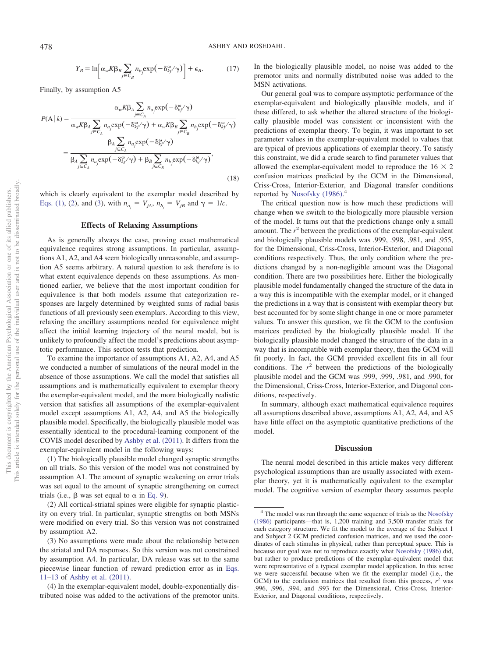$$
Y_B = \ln \left[ \alpha_w K \beta_B \sum_{j \in C_B} n_{b_j} \exp(-\delta_{kj}^{\omega}/\gamma) \right] + \epsilon_B.
$$
 (17)

Finally, by assumption A5

$$
P(A | k) = \frac{\alpha_w K \beta_A \sum_{j \in C_A} n_{a_j} \exp(-\delta_{kj}^{\omega} \gamma)}{\alpha_w K \beta_A \sum_{j \in C_A} n_{a_j} \exp(-\delta_{kj}^{\omega} \gamma) + \alpha_w K \beta_B \sum_{j \in C_B} n_{b_j} \exp(-\delta_{kj}^{\omega} \gamma)}
$$
  
= 
$$
\frac{\beta_A \sum_{j \in C_A} n_{a_j} \exp(-\delta_{kj}^{\omega} \gamma)}{\beta_A \sum_{j \in C_A} n_{a_j} \exp(-\delta_{kj}^{\omega} \gamma) + \beta_B \sum_{j \in C_B} n_{b_j} \exp(-\delta_{kj}^{\omega} \gamma)},
$$
(18)

which is clearly equivalent to the exemplar model described by [Eqs. \(1\),](#page-1-0) [\(2\)](#page-2-0), and [\(3\)](#page-2-1), with  $n_{a_i} = V_{jA}$ ,  $n_{b_i} = V_{jB}$  and  $\gamma = 1/c$ .

## **Effects of Relaxing Assumptions**

As is generally always the case, proving exact mathematical equivalence requires strong assumptions. In particular, assumptions A1, A2, and A4 seem biologically unreasonable, and assumption A5 seems arbitrary. A natural question to ask therefore is to what extent equivalence depends on these assumptions. As mentioned earlier, we believe that the most important condition for equivalence is that both models assume that categorization responses are largely determined by weighted sums of radial basis functions of all previously seen exemplars. According to this view, relaxing the ancillary assumptions needed for equivalence might affect the initial learning trajectory of the neural model, but is unlikely to profoundly affect the model's predictions about asymptotic performance. This section tests that prediction.

To examine the importance of assumptions A1, A2, A4, and A5 we conducted a number of simulations of the neural model in the absence of those assumptions. We call the model that satisfies all assumptions and is mathematically equivalent to exemplar theory the exemplar-equivalent model, and the more biologically realistic version that satisfies all assumptions of the exemplar-equivalent model except assumptions A1, A2, A4, and A5 the biologically plausible model. Specifically, the biologically plausible model was essentially identical to the procedural-learning component of the COVIS model described by [Ashby et al. \(2011\).](#page-8-9) It differs from the exemplar-equivalent model in the following ways:

(1) The biologically plausible model changed synaptic strengths on all trials. So this version of the model was not constrained by assumption A1. The amount of synaptic weakening on error trials was set equal to the amount of synaptic strengthening on correct trials (i.e.,  $\beta$  was set equal to  $\alpha$  in [Eq. 9\)](#page-4-0).

(2) All cortical-striatal spines were eligible for synaptic plasticity on every trial. In particular, synaptic strengths on both MSNs were modified on every trial. So this version was not constrained by assumption A2.

In the biologically plausible model, no noise was added to the premotor units and normally distributed noise was added to the MSN activations.

Our general goal was to compare asymptotic performance of the exemplar-equivalent and biologically plausible models, and if these differed, to ask whether the altered structure of the biologically plausible model was consistent or inconsistent with the predictions of exemplar theory. To begin, it was important to set parameter values in the exemplar-equivalent model to values that are typical of previous applications of exemplar theory. To satisfy this constraint, we did a crude search to find parameter values that allowed the exemplar-equivalent model to reproduce the  $16 \times 2$ confusion matrices predicted by the GCM in the Dimensional, Criss-Cross, Interior-Exterior, and Diagonal transfer conditions reported by [Nosofsky \(1986\).](#page-9-5)<sup>4</sup>

The critical question now is how much these predictions will change when we switch to the biologically more plausible version of the model. It turns out that the predictions change only a small amount. The *r* <sup>2</sup> between the predictions of the exemplar-equivalent and biologically plausible models was .999, .998, .981, and .955, for the Dimensional, Criss-Cross, Interior-Exterior, and Diagonal conditions respectively. Thus, the only condition where the predictions changed by a non-negligible amount was the Diagonal condition. There are two possibilities here. Either the biologically plausible model fundamentally changed the structure of the data in a way this is incompatible with the exemplar model, or it changed the predictions in a way that is consistent with exemplar theory but best accounted for by some slight change in one or more parameter values. To answer this question, we fit the GCM to the confusion matrices predicted by the biologically plausible model. If the biologically plausible model changed the structure of the data in a way that is incompatible with exemplar theory, then the GCM will fit poorly. In fact, the GCM provided excellent fits in all four conditions. The  $r^2$  between the predictions of the biologically plausible model and the GCM was .999, .999, .981, and .990, for the Dimensional, Criss-Cross, Interior-Exterior, and Diagonal conditions, respectively.

In summary, although exact mathematical equivalence requires all assumptions described above, assumptions A1, A2, A4, and A5 have little effect on the asymptotic quantitative predictions of the model.

#### **Discussion**

The neural model described in this article makes very different psychological assumptions than are usually associated with exemplar theory, yet it is mathematically equivalent to the exemplar model. The cognitive version of exemplar theory assumes people

<sup>(3)</sup> No assumptions were made about the relationship between the striatal and DA responses. So this version was not constrained by assumption A4. In particular, DA release was set to the same piecewise linear function of reward prediction error as in [Eqs.](#page-5-0) [11](#page-5-0)[–13](#page-5-1) of [Ashby et al. \(2011\).](#page-8-9)

<sup>(4)</sup> In the exemplar-equivalent model, double-exponentially distributed noise was added to the activations of the premotor units.

<sup>4</sup> The model was run through the same sequence of trials as the [Nosofsky](#page-9-5) [\(1986\)](#page-9-5) participants—that is, 1,200 training and 3,500 transfer trials for each category structure. We fit the model to the average of the Subject 1 and Subject 2 GCM predicted confusion matrices, and we used the coordinates of each stimulus in physical, rather than perceptual space. This is because our goal was not to reproduce exactly what [Nosofsky \(1986\)](#page-9-5) did, but rather to produce predictions of the exemplar-equivalent model that were representative of a typical exemplar model application. In this sense we were successful because when we fit the exemplar model (i.e., the GCM) to the confusion matrices that resulted from this process,  $r^2$  was .996, .996, .994, and .993 for the Dimensional, Criss-Cross, Interior-Exterior, and Diagonal conditions, respectively.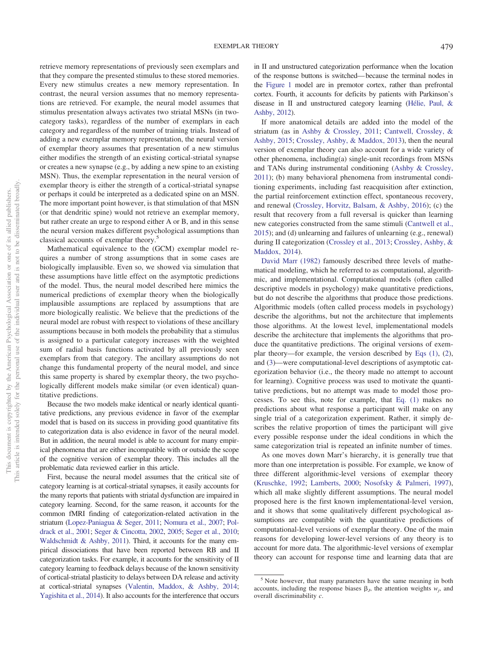retrieve memory representations of previously seen exemplars and that they compare the presented stimulus to these stored memories. Every new stimulus creates a new memory representation. In contrast, the neural version assumes that no memory representations are retrieved. For example, the neural model assumes that stimulus presentation always activates two striatal MSNs (in twocategory tasks), regardless of the number of exemplars in each category and regardless of the number of training trials. Instead of adding a new exemplar memory representation, the neural version of exemplar theory assumes that presentation of a new stimulus either modifies the strength of an existing cortical-striatal synapse or creates a new synapse (e.g., by adding a new spine to an existing MSN). Thus, the exemplar representation in the neural version of exemplar theory is either the strength of a cortical-striatal synapse or perhaps it could be interpreted as a dedicated spine on an MSN. The more important point however, is that stimulation of that MSN (or that dendritic spine) would not retrieve an exemplar memory, but rather create an urge to respond either A or B, and in this sense the neural version makes different psychological assumptions than classical accounts of exemplar theory.5

Mathematical equivalence to the (GCM) exemplar model requires a number of strong assumptions that in some cases are biologically implausible. Even so, we showed via simulation that these assumptions have little effect on the asymptotic predictions of the model. Thus, the neural model described here mimics the numerical predictions of exemplar theory when the biologically implausible assumptions are replaced by assumptions that are more biologically realistic. We believe that the predictions of the neural model are robust with respect to violations of these ancillary assumptions because in both models the probability that a stimulus is assigned to a particular category increases with the weighted sum of radial basis functions activated by all previously seen exemplars from that category. The ancillary assumptions do not change this fundamental property of the neural model, and since this same property is shared by exemplar theory, the two psychologically different models make similar (or even identical) quantitative predictions.

Because the two models make identical or nearly identical quantitative predictions, any previous evidence in favor of the exemplar model that is based on its success in providing good quantitative fits to categorization data is also evidence in favor of the neural model. But in addition, the neural model is able to account for many empirical phenomena that are either incompatible with or outside the scope of the cognitive version of exemplar theory. This includes all the problematic data reviewed earlier in this article.

First, because the neural model assumes that the critical site of category learning is at cortical-striatal synapses, it easily accounts for the many reports that patients with striatal dysfunction are impaired in category learning. Second, for the same reason, it accounts for the common fMRI finding of categorization-related activation in the striatum [\(Lopez-Paniagua & Seger, 2011;](#page-9-15) [Nomura et al., 2007;](#page-9-28) [Pol](#page-10-19)[drack et al., 2001;](#page-10-19) [Seger & Cincotta, 2002,](#page-10-20) [2005;](#page-10-4) [Seger et al., 2010;](#page-10-15) [Waldschmidt & Ashby, 2011\)](#page-10-21). Third, it accounts for the many empirical dissociations that have been reported between RB and II categorization tasks. For example, it accounts for the sensitivity of II category learning to feedback delays because of the known sensitivity of cortical-striatal plasticity to delays between DA release and activity at cortical-striatal synapses [\(Valentin, Maddox, & Ashby, 2014;](#page-10-37) [Yagishita et al., 2014\)](#page-10-10). It also accounts for the interference that occurs

in II and unstructured categorization performance when the location of the response buttons is switched—because the terminal nodes in the [Figure 1](#page-2-2) model are in premotor cortex, rather than prefrontal cortex. Fourth, it accounts for deficits by patients with Parkinson's disease in II and unstructured category learning [\(Hélie, Paul, &](#page-9-40) [Ashby, 2012\)](#page-9-40).

If more anatomical details are added into the model of the striatum (as in [Ashby & Crossley, 2011;](#page-8-9) [Cantwell, Crossley, &](#page-8-18) [Ashby, 2015;](#page-8-18) [Crossley, Ashby, & Maddox, 2013\)](#page-8-19), then the neural version of exemplar theory can also account for a wide variety of other phenomena, including(a) single-unit recordings from MSNs and TANs during instrumental conditioning [\(Ashby & Crossley,](#page-8-9) [2011\)](#page-8-9); (b) many behavioral phenomena from instrumental conditioning experiments, including fast reacquisition after extinction, the partial reinforcement extinction effect, spontaneous recovery, and renewal [\(Crossley, Horvitz, Balsam, & Ashby, 2016\)](#page-8-20); (c) the result that recovery from a full reversal is quicker than learning new categories constructed from the same stimuli [\(Cantwell et al.,](#page-8-18) [2015\)](#page-8-18); and (d) unlearning and failures of unlearning (e.g., renewal) during II categorization [\(Crossley et al., 2013;](#page-8-19) [Crossley, Ashby, &](#page-8-21) [Maddox, 2014\)](#page-8-21).

[David Marr \(1982\)](#page-9-41) famously described three levels of mathematical modeling, which he referred to as computational, algorithmic, and implementational. Computational models (often called descriptive models in psychology) make quantitative predictions, but do not describe the algorithms that produce those predictions. Algorithmic models (often called process models in psychology) describe the algorithms, but not the architecture that implements those algorithms. At the lowest level, implementational models describe the architecture that implements the algorithms that produce the quantitative predictions. The original versions of exemplar theory—for example, the version described by [Eqs \(1\),](#page-1-0) [\(2\)](#page-2-0), and [\(3\)](#page-2-1)—were computational-level descriptions of asymptotic categorization behavior (i.e., the theory made no attempt to account for learning). Cognitive process was used to motivate the quantitative predictions, but no attempt was made to model those processes. To see this, note for example, that [Eq. \(1\)](#page-1-0) makes no predictions about what response a participant will make on any single trial of a categorization experiment. Rather, it simply describes the relative proportion of times the participant will give every possible response under the ideal conditions in which the same categorization trial is repeated an infinite number of times.

As one moves down Marr's hierarchy, it is generally true that more than one interpretation is possible. For example, we know of three different algorithmic-level versions of exemplar theory [\(Kruschke, 1992;](#page-9-2) [Lamberts, 2000;](#page-9-3) [Nosofsky & Palmeri, 1997\)](#page-9-30), which all make slightly different assumptions. The neural model proposed here is the first known implementational-level version, and it shows that some qualitatively different psychological assumptions are compatible with the quantitative predictions of computational-level versions of exemplar theory. One of the main reasons for developing lower-level versions of any theory is to account for more data. The algorithmic-level versions of exemplar theory can account for response time and learning data that are

<sup>&</sup>lt;sup>5</sup> Note however, that many parameters have the same meaning in both accounts, including the response biases  $\beta_j$ , the attention weights  $w_j$ , and overall discriminability *c*.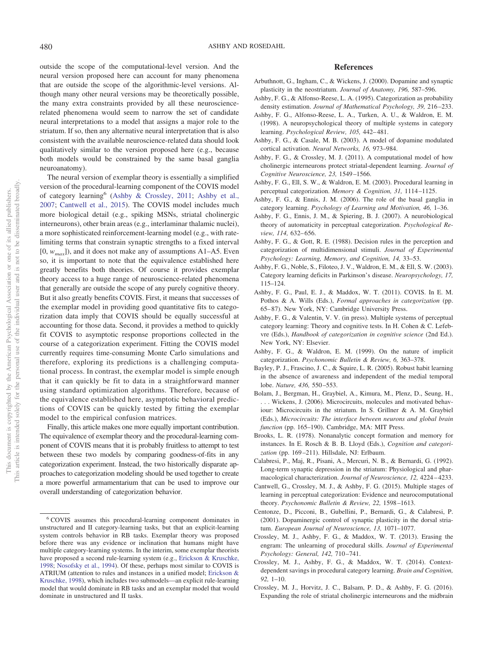outside the scope of the computational-level version. And the neural version proposed here can account for many phenomena that are outside the scope of the algorithmic-level versions. Although many other neural versions may be theoretically possible, the many extra constraints provided by all these neurosciencerelated phenomena would seem to narrow the set of candidate neural interpretations to a model that assigns a major role to the striatum. If so, then any alternative neural interpretation that is also consistent with the available neuroscience-related data should look qualitatively similar to the version proposed here (e.g., because both models would be constrained by the same basal ganglia neuroanatomy).

The neural version of exemplar theory is essentially a simplified version of the procedural-learning component of the COVIS model of category learning<sup>6</sup> [\(Ashby & Crossley, 2011;](#page-8-9) [Ashby et al.,](#page-8-12) [2007;](#page-8-12) [Cantwell et al., 2015\)](#page-8-18). The COVIS model includes much more biological detail (e.g., spiking MSNs, striatal cholinergic interneurons), other brain areas (e.g., interlaminar thalamic nuclei), a more sophisticated reinforcement-learning model (e.g., with ratelimiting terms that constrain synaptic strengths to a fixed interval [0, *wmax*]), and it does not make any of assumptions A1–A5. Even so, it is important to note that the equivalence established here greatly benefits both theories. Of course it provides exemplar theory access to a huge range of neuroscience-related phenomena that generally are outside the scope of any purely cognitive theory. But it also greatly benefits COVIS. First, it means that successes of the exemplar model in providing good quantitative fits to categorization data imply that COVIS should be equally successful at accounting for those data. Second, it provides a method to quickly fit COVIS to asymptotic response proportions collected in the course of a categorization experiment. Fitting the COVIS model currently requires time-consuming Monte Carlo simulations and therefore, exploring its predictions is a challenging computational process. In contrast, the exemplar model is simple enough that it can quickly be fit to data in a straightforward manner using standard optimization algorithms. Therefore, because of the equivalence established here, asymptotic behavioral predictions of COVIS can be quickly tested by fitting the exemplar model to the empirical confusion matrices.

Finally, this article makes one more equally important contribution. The equivalence of exemplar theory and the procedural-learning component of COVIS means that it is probably fruitless to attempt to test between these two models by comparing goodness-of-fits in any categorization experiment. Instead, the two historically disparate approaches to categorization modeling should be used together to create a more powerful armamentarium that can be used to improve our overall understanding of categorization behavior.

## **References**

- <span id="page-8-15"></span>Arbuthnott, G., Ingham, C., & Wickens, J. (2000). Dopamine and synaptic plasticity in the neostriatum. *Journal of Anatomy, 196,* 587–596.
- <span id="page-8-13"></span>Ashby, F. G., & Alfonso-Reese, L. A. (1995). Categorization as probability density estimation. *Journal of Mathematical Psychology, 39,* 216–233.
- <span id="page-8-3"></span>Ashby, F. G., Alfonso-Reese, L. A., Turken, A. U., & Waldron, E. M. (1998). A neuropsychological theory of multiple systems in category learning. *Psychological Review, 105,* 442–481.
- <span id="page-8-17"></span>Ashby, F. G., & Casale, M. B. (2003). A model of dopamine modulated cortical activation. *Neural Networks, 16,* 973–984.
- <span id="page-8-9"></span>Ashby, F. G., & Crossley, M. J. (2011). A computational model of how cholinergic interneurons protect striatal-dependent learning. *Journal of Cognitive Neuroscience, 23,* 1549–1566.
- <span id="page-8-5"></span>Ashby, F. G., Ell, S. W., & Waldron, E. M. (2003). Procedural learning in perceptual categorization. *Memory & Cognition, 31,* 1114–1125.
- <span id="page-8-6"></span>Ashby, F. G., & Ennis, J. M. (2006). The role of the basal ganglia in category learning. *Psychology of Learning and Motivation, 46,* 1–36.
- <span id="page-8-12"></span>Ashby, F. G., Ennis, J. M., & Spiering, B. J. (2007). A neurobiological theory of automaticity in perceptual categorization. *Psychological Review, 114,* 632–656.
- <span id="page-8-4"></span>Ashby, F. G., & Gott, R. E. (1988). Decision rules in the perception and categorization of multidimensional stimuli. *Journal of Experimental Psychology: Learning, Memory, and Cognition, 14,* 33–53.
- <span id="page-8-7"></span>Ashby, F. G., Noble, S., Filoteo, J. V., Waldron, E. M., & Ell, S. W. (2003). Category learning deficits in Parkinson's disease. *Neuropsychology, 17,* 115–124.
- <span id="page-8-10"></span>Ashby, F. G., Paul, E. J., & Maddox, W. T. (2011). COVIS. In E. M. Pothos & A. Wills (Eds.), *Formal approaches in categorization* (pp. 65–87). New York, NY: Cambridge University Press.
- <span id="page-8-2"></span>Ashby, F. G., & Valentin, V. V. (in press). Multiple systems of perceptual category learning: Theory and cognitive tests. In H. Cohen & C. Lefebvre (Eds.), *Handbook of categorization in cognitive science* (2nd Ed.). New York, NY: Elsevier.
- <span id="page-8-11"></span>Ashby, F. G., & Waldron, E. M. (1999). On the nature of implicit categorization. *Psychonomic Bulletin & Review, 6,* 363–378.
- <span id="page-8-1"></span>Bayley, P. J., Frascino, J. C., & Squire, L. R. (2005). Robust habit learning in the absence of awareness and independent of the medial temporal lobe. *Nature, 436,* 550–553.
- <span id="page-8-8"></span>Bolam, J., Bergman, H., Graybiel, A., Kimura, M., Plenz, D., Seung, H., . . . Wickens, J. (2006). Microcircuits, molecules and motivated behaviour: Microcircuits in the striatum. In S. Grillner & A. M. Graybiel (Eds.), *Microcircuits: The interface between neurons and global brain function* (pp. 165–190). Cambridge, MA: MIT Press.
- <span id="page-8-0"></span>Brooks, L. R. (1978). Nonanalytic concept formation and memory for instances. In E. Rosch & B. B. Lloyd (Eds.), *Cognition and categorization* (pp. 169–211). Hillsdale, NJ: Erlbaum.
- <span id="page-8-16"></span>Calabresi, P., Maj, R., Pisani, A., Mercuri, N. B., & Bernardi, G. (1992). Long-term synaptic depression in the striatum: Physiological and pharmacological characterization. *Journal of Neuroscience, 12,* 4224–4233.
- <span id="page-8-18"></span>Cantwell, G., Crossley, M. J., & Ashby, F. G. (2015). Multiple stages of learning in perceptual categorization: Evidence and neurocomputational theory. *Psychonomic Bulletin & Review, 22,* 1598–1613.
- <span id="page-8-14"></span>Centonze, D., Picconi, B., Gubellini, P., Bernardi, G., & Calabresi, P. (2001). Dopaminergic control of synaptic plasticity in the dorsal striatum. *European Journal of Neuroscience, 13,* 1071–1077.
- <span id="page-8-19"></span>Crossley, M. J., Ashby, F. G., & Maddox, W. T. (2013). Erasing the engram: The unlearning of procedural skills. *Journal of Experimental Psychology: General, 142,* 710–741.
- <span id="page-8-21"></span>Crossley, M. J., Ashby, F. G., & Maddox, W. T. (2014). Contextdependent savings in procedural category learning. *Brain and Cognition, 92,* 1–10.
- <span id="page-8-20"></span>Crossley, M. J., Horvitz, J. C., Balsam, P. D., & Ashby, F. G. (2016). Expanding the role of striatal cholinergic interneurons and the midbrain

<sup>6</sup> COVIS assumes this procedural-learning component dominates in unstructured and II category-learning tasks, but that an explicit-learning system controls behavior in RB tasks. Exemplar theory was proposed before there was any evidence or inclination that humans might have multiple category-learning systems. In the interim, some exemplar theorists have proposed a second rule-learning system (e.g., [Erickson & Kruschke,](#page-9-21) [1998;](#page-9-21) [Nosofsky et al., 1994\)](#page-9-6). Of these, perhaps most similar to COVIS is ATRIUM (attention to rules and instances in a unified model; [Erickson &](#page-9-21) [Kruschke, 1998\)](#page-9-21), which includes two submodels—an explicit rule-learning model that would dominate in RB tasks and an exemplar model that would dominate in unstructured and II tasks.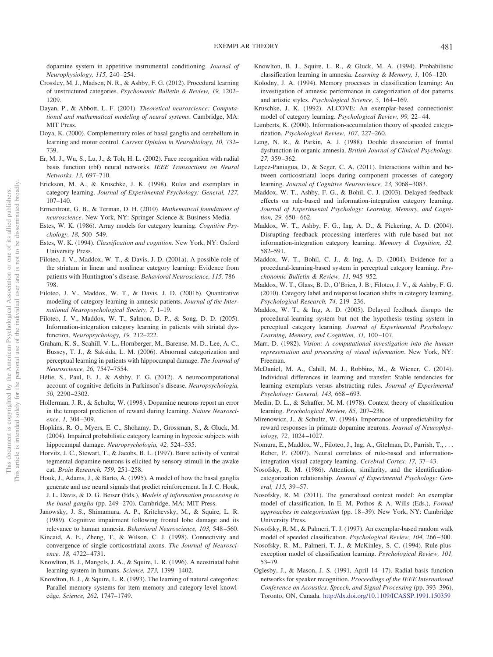dopamine system in appetitive instrumental conditioning. *Journal of Neurophysiology, 115,* 240–254.

- <span id="page-9-16"></span>Crossley, M. J., Madsen, N. R., & Ashby, F. G. (2012). Procedural learning of unstructured categories. *Psychonomic Bulletin & Review, 19,* 1202– 1209.
- <span id="page-9-33"></span>Dayan, P., & Abbott, L. F. (2001). *Theoretical neuroscience: Computational and mathematical modeling of neural systems*. Cambridge, MA: MIT Press.
- <span id="page-9-37"></span>Doya, K. (2000). Complementary roles of basal ganglia and cerebellum in learning and motor control. *Current Opinion in Neurobiology, 10,* 732– 739.
- <span id="page-9-31"></span>Er, M. J., Wu, S., Lu, J., & Toh, H. L. (2002). Face recognition with radial basis function (rbf) neural networks. *IEEE Transactions on Neural Networks, 13,* 697–710.
- <span id="page-9-21"></span>Erickson, M. A., & Kruschke, J. K. (1998). Rules and exemplars in category learning. *Journal of Experimental Psychology: General, 127,* 107–140.
- <span id="page-9-34"></span>Ermentrout, G. B., & Terman, D. H. (2010). *Mathematical foundations of neuroscience*. New York, NY: Springer Science & Business Media.
- <span id="page-9-0"></span>Estes, W. K. (1986). Array models for category learning. *Cognitive Psychology, 18,* 500–549.
- <span id="page-9-1"></span>Estes, W. K. (1994). *Classification and cognition*. New York, NY: Oxford University Press.
- <span id="page-9-27"></span>Filoteo, J. V., Maddox, W. T., & Davis, J. D. (2001a). A possible role of the striatum in linear and nonlinear category learning: Evidence from patients with Huntington's disease. *Behavioral Neuroscience, 115,* 786– 798.
- <span id="page-9-11"></span>Filoteo, J. V., Maddox, W. T., & Davis, J. D. (2001b). Quantitative modeling of category learning in amnesic patients. *Journal of the International Neuropsychological Society, 7,* 1–19.
- <span id="page-9-18"></span>Filoteo, J. V., Maddox, W. T., Salmon, D. P., & Song, D. D. (2005). Information-integration category learning in patients with striatal dysfunction. *Neuropsychology, 19,* 212–222.
- <span id="page-9-10"></span>Graham, K. S., Scahill, V. L., Hornberger, M., Barense, M. D., Lee, A. C., Bussey, T. J., & Saksida, L. M. (2006). Abnormal categorization and perceptual learning in patients with hippocampal damage. *The Journal of Neuroscience, 26,* 7547–7554.
- <span id="page-9-40"></span>Hélie, S., Paul, E. J., & Ashby, F. G. (2012). A neurocomputational account of cognitive deficits in Parkinson's disease. *Neuropsychologia, 50,* 2290–2302.
- <span id="page-9-35"></span>Hollerman, J. R., & Schultz, W. (1998). Dopamine neurons report an error in the temporal prediction of reward during learning. *Nature Neuroscience, 1,* 304–309.
- <span id="page-9-7"></span>Hopkins, R. O., Myers, E. C., Shohamy, D., Grossman, S., & Gluck, M. (2004). Impaired probabilistic category learning in hypoxic subjects with hippocampal damage. *Neuropsychologia, 42,* 524–535.
- <span id="page-9-39"></span>Horvitz, J. C., Stewart, T., & Jacobs, B. L. (1997). Burst activity of ventral tegmental dopamine neurons is elicited by sensory stimuli in the awake cat. *Brain Research, 759,* 251–258.
- <span id="page-9-38"></span>Houk, J., Adams, J., & Barto, A. (1995). A model of how the basal ganglia generate and use neural signals that predict reinforcement. In J. C. Houk, J. L. Davis, & D. G. Beiser (Eds.), *Models of information processing in the basal ganglia* (pp. 249–270). Cambridge, MA: MIT Press.
- <span id="page-9-12"></span>Janowsky, J. S., Shimamura, A. P., Kritchevsky, M., & Squire, L. R. (1989). Cognitive impairment following frontal lobe damage and its relevance to human amnesia. *Behavioral Neuroscience, 103,* 548–560.
- <span id="page-9-29"></span>Kincaid, A. E., Zheng, T., & Wilson, C. J. (1998). Connectivity and convergence of single corticostriatal axons. *The Journal of Neuroscience, 18,* 4722–4731.
- <span id="page-9-19"></span>Knowlton, B. J., Mangels, J. A., & Squire, L. R. (1996). A neostriatal habit learning system in humans. *Science, 273,* 1399–1402.
- <span id="page-9-13"></span>Knowlton, B. J., & Squire, L. R. (1993). The learning of natural categories: Parallel memory systems for item memory and category-level knowledge. *Science, 262,* 1747–1749.
- <span id="page-9-9"></span>Knowlton, B. J., Squire, L. R., & Gluck, M. A. (1994). Probabilistic classification learning in amnesia. *Learning & Memory, 1,* 106–120.
- <span id="page-9-8"></span>Kolodny, J. A. (1994). Memory processes in classification learning: An investigation of amnesic performance in categorization of dot patterns and artistic styles. *Psychological Science, 5,* 164–169.
- <span id="page-9-2"></span>Kruschke, J. K. (1992). ALCOVE: An exemplar-based connectionist model of category learning. *Psychological Review, 99,* 22–44.
- <span id="page-9-3"></span>Lamberts, K. (2000). Information-accumulation theory of speeded categorization. *Psychological Review, 107,* 227–260.
- <span id="page-9-14"></span>Leng, N. R., & Parkin, A. J. (1988). Double dissociation of frontal dysfunction in organic amnesia. *British Journal of Clinical Psychology, 27,* 359–362.
- <span id="page-9-15"></span>Lopez-Paniagua, D., & Seger, C. A. (2011). Interactions within and between corticostriatal loops during component processes of category learning. *Journal of Cognitive Neuroscience, 23,* 3068–3083.
- <span id="page-9-23"></span>Maddox, W. T., Ashby, F. G., & Bohil, C. J. (2003). Delayed feedback effects on rule-based and information-integration category learning. *Journal of Experimental Psychology: Learning, Memory, and Cognition, 29,* 650–662.
- <span id="page-9-17"></span>Maddox, W. T., Ashby, F. G., Ing, A. D., & Pickering, A. D. (2004). Disrupting feedback processing interferes with rule-based but not information-integration category learning. *Memory & Cognition, 32,* 582–591.
- <span id="page-9-20"></span>Maddox, W. T., Bohil, C. J., & Ing, A. D. (2004). Evidence for a procedural-learning-based system in perceptual category learning. *Psychonomic Bulletin & Review, 11,* 945–952.
- <span id="page-9-25"></span>Maddox, W. T., Glass, B. D., O'Brien, J. B., Filoteo, J. V., & Ashby, F. G. (2010). Category label and response location shifts in category learning. *Psychological Research, 74,* 219–236.
- <span id="page-9-24"></span>Maddox, W. T., & Ing, A. D. (2005). Delayed feedback disrupts the procedural-learning system but not the hypothesis testing system in perceptual category learning. *Journal of Experimental Psychology: Learning, Memory, and Cognition, 31,* 100–107.
- <span id="page-9-41"></span>Marr, D. (1982). *Vision: A computational investigation into the human representation and processing of visual information*. New York, NY: Freeman.
- <span id="page-9-22"></span>McDaniel, M. A., Cahill, M. J., Robbins, M., & Wiener, C. (2014). Individual differences in learning and transfer: Stable tendencies for learning exemplars versus abstracting rules. *Journal of Experimental Psychology: General, 143,* 668–693.
- <span id="page-9-4"></span>Medin, D. L., & Schaffer, M. M. (1978). Context theory of classification learning. *Psychological Review, 85,* 207–238.
- <span id="page-9-36"></span>Mirenowicz, J., & Schultz, W. (1994). Importance of unpredictability for reward responses in primate dopamine neurons. *Journal of Neurophysiology, 72,* 1024–1027.
- <span id="page-9-28"></span>Nomura, E., Maddox, W., Filoteo, J., Ing, A., Gitelman, D., Parrish, T.,... Reber, P. (2007). Neural correlates of rule-based and informationintegration visual category learning. *Cerebral Cortex, 17,* 37–43.
- <span id="page-9-5"></span>Nosofsky, R. M. (1986). Attention, similarity, and the identificationcategorization relationship. *Journal of Experimental Psychology: General, 115,* 39–57.
- <span id="page-9-26"></span>Nosofsky, R. M. (2011). The generalized context model: An exemplar model of classification. In E. M. Pothos & A. Wills (Eds.), *Formal approaches in categorization* (pp. 18–39). New York, NY: Cambridge University Press.
- <span id="page-9-30"></span>Nosofsky, R. M., & Palmeri, T. J. (1997). An exemplar-based random walk model of speeded classification. *Psychological Review, 104,* 266–300.
- <span id="page-9-6"></span>Nosofsky, R. M., Palmeri, T. J., & McKinley, S. C. (1994). Rule-plusexception model of classification learning. *Psychological Review, 101,* 53–79.
- <span id="page-9-32"></span>Oglesby, J., & Mason, J. S. (1991, April 14–17). Radial basis function networks for speaker recognition. *Proceedings of the IEEE International Conference on Acoustics, Speech, and Signal Processing* (pp. 393–396). Toronto, ON, Canada. <http://dx.doi.org/10.1109/ICASSP.1991.150359>